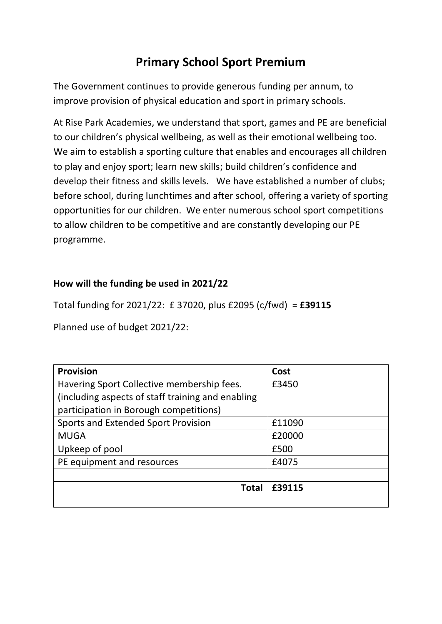# **Primary School Sport Premium**

The Government continues to provide generous funding per annum, to improve provision of physical education and sport in primary schools.

At Rise Park Academies, we understand that sport, games and PE are beneficial to our children's physical wellbeing, as well as their emotional wellbeing too. We aim to establish a sporting culture that enables and encourages all children to play and enjoy sport; learn new skills; build children's confidence and develop their fitness and skills levels. We have established a number of clubs; before school, during lunchtimes and after school, offering a variety of sporting opportunities for our children. We enter numerous school sport competitions to allow children to be competitive and are constantly developing our PE programme.

## **How will the funding be used in 2021/22**

Total funding for 2021/22: £ 37020, plus £2095 (c/fwd) = **£39115**

Planned use of budget 2021/22:

| <b>Provision</b>                                  | Cost   |
|---------------------------------------------------|--------|
| Havering Sport Collective membership fees.        | £3450  |
| (including aspects of staff training and enabling |        |
| participation in Borough competitions)            |        |
| <b>Sports and Extended Sport Provision</b>        | £11090 |
| <b>MUGA</b>                                       | £20000 |
| Upkeep of pool                                    | £500   |
| PE equipment and resources                        | £4075  |
|                                                   |        |
| <b>Total</b>                                      | £39115 |
|                                                   |        |